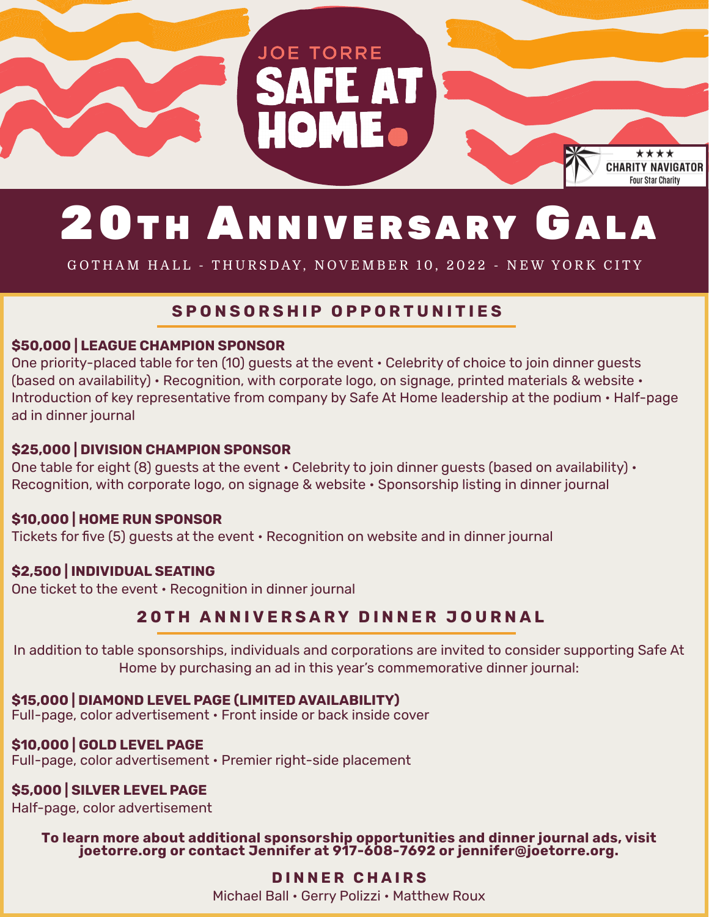

# 20TH ANNIVERSARY GALA

GOTHAM HALL - THURSDAY, NOVEMBER 10, 2022 - NEW YORK CITY

# **SPONSORSHIP OPPORTUNITIES**

#### **\$50,000 | LEAGUE CHAMPION SPONSOR**

One priority-placed table for ten (10) guests at the event • Celebrity of choice to join dinner guests (based on availability) • Recognition, with corporate logo, on signage, printed materials & website • Introduction of key representative from company by Safe At Home leadership at the podium • Half-page ad in dinner journal

#### **\$25,000 | DIVISION CHAMPION SPONSOR**

One table for eight (8) guests at the event  $\cdot$  Celebrity to join dinner guests (based on availability)  $\cdot$ Recognition, with corporate logo, on signage & website • Sponsorship listing in dinner journal

# **\$10,000 | HOME RUN SPONSOR**

Tickets for five (5) guests at the event • Recognition on website and in dinner journal

# **\$2,500 | INDIVIDUAL SEATING**

One ticket to the event • Recognition in dinner journal

# **20TH ANNIVERSARY DINNER JOURNAL**

In addition to table sponsorships, individuals and corporations are invited to consider supporting Safe At Home by purchasing an ad in this year's commemorative dinner journal:

# **\$15,000 | DIAMOND LEVEL PAGE (LIMITED AVAILABILITY)**

Full-page, color advertisement • Front inside or back inside cover

# **\$10,000 | GOLD LEVEL PAGE**

Full-page, color advertisement • Premier right-side placement

# **\$5,000 | SILVER LEVEL PAGE**

Half-page, color advertisement

# **To learn more about additional sponsorship opportunities and dinner journal ads, visit joetorre.org or contact Jennifer at 917-608-7692 or jennifer@joetorre.org.**

# **DINNER CHAIRS**

Michael Ball • Gerry Polizzi • Matthew Roux